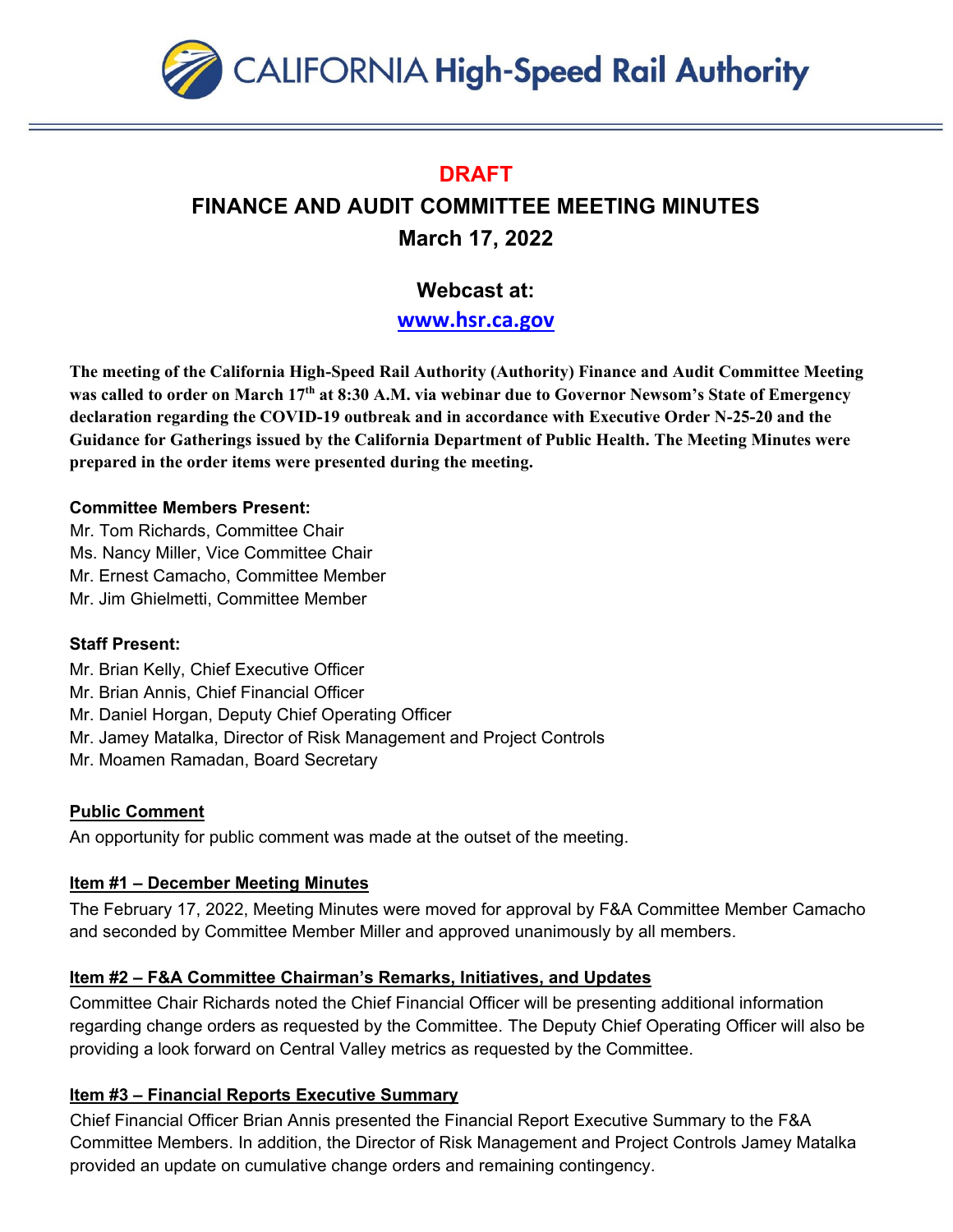

## **DRAFT**

# **FINANCE AND AUDIT COMMITTEE MEETING MINUTES March 17, 2022**

# **Webcast at:**

**[www.hsr.ca.gov](http://www.hsr.ca.gov/)**

**The meeting of the California High-Speed Rail Authority (Authority) Finance and Audit Committee Meeting was called to order on March 17th at 8:30 A.M. via webinar due to Governor Newsom's State of Emergency declaration regarding the COVID-19 outbreak and in accordance with Executive Order N-25-20 and the Guidance for Gatherings issued by the California Department of Public Health. The Meeting Minutes were prepared in the order items were presented during the meeting.** 

### **Committee Members Present:**

- Mr. Tom Richards, Committee Chair
- Ms. Nancy Miller, Vice Committee Chair
- Mr. Ernest Camacho, Committee Member
- Mr. Jim Ghielmetti, Committee Member

### **Staff Present:**

- Mr. Brian Kelly, Chief Executive Officer
- Mr. Brian Annis, Chief Financial Officer
- Mr. Daniel Horgan, Deputy Chief Operating Officer
- Mr. Jamey Matalka, Director of Risk Management and Project Controls
- Mr. Moamen Ramadan, Board Secretary

### **Public Comment**

An opportunity for public comment was made at the outset of the meeting.

### **Item #1 – December Meeting Minutes**

The February 17, 2022, Meeting Minutes were moved for approval by F&A Committee Member Camacho and seconded by Committee Member Miller and approved unanimously by all members.

### **Item #2 – F&A Committee Chairman's Remarks, Initiatives, and Updates**

Committee Chair Richards noted the Chief Financial Officer will be presenting additional information regarding change orders as requested by the Committee. The Deputy Chief Operating Officer will also be providing a look forward on Central Valley metrics as requested by the Committee.

### **Item #3 – Financial Reports Executive Summary**

Chief Financial Officer Brian Annis presented the Financial Report Executive Summary to the F&A Committee Members. In addition, the Director of Risk Management and Project Controls Jamey Matalka provided an update on cumulative change orders and remaining contingency.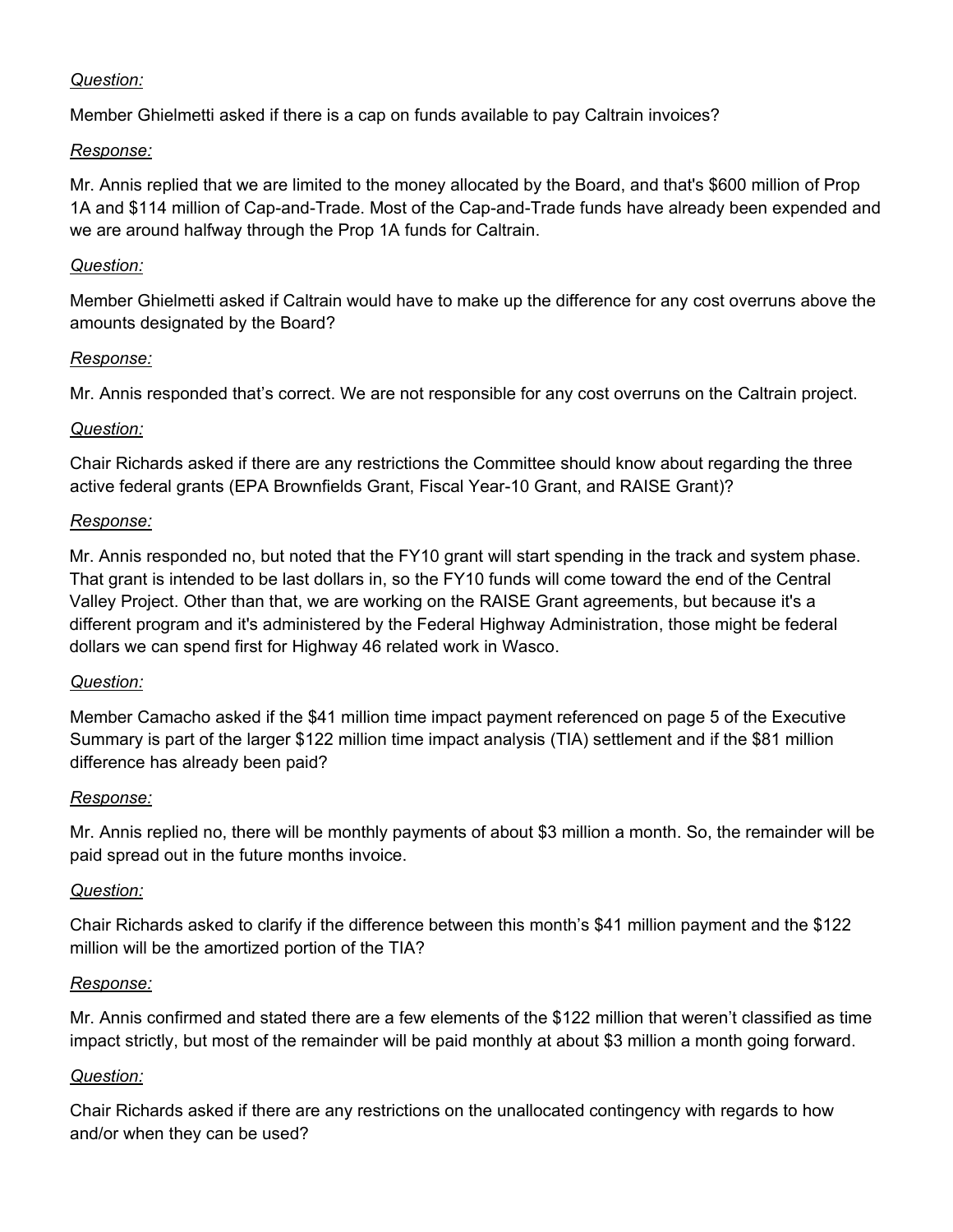#### *Question:*

Member Ghielmetti asked if there is a cap on funds available to pay Caltrain invoices?

#### *Response:*

Mr. Annis replied that we are limited to the money allocated by the Board, and that's \$600 million of Prop 1A and \$114 million of Cap-and-Trade. Most of the Cap-and-Trade funds have already been expended and we are around halfway through the Prop 1A funds for Caltrain.

### *Question:*

Member Ghielmetti asked if Caltrain would have to make up the difference for any cost overruns above the amounts designated by the Board?

### *Response:*

Mr. Annis responded that's correct. We are not responsible for any cost overruns on the Caltrain project.

### *Question:*

Chair Richards asked if there are any restrictions the Committee should know about regarding the three active federal grants (EPA Brownfields Grant, Fiscal Year-10 Grant, and RAISE Grant)?

### *Response:*

Mr. Annis responded no, but noted that the FY10 grant will start spending in the track and system phase. That grant is intended to be last dollars in, so the FY10 funds will come toward the end of the Central Valley Project. Other than that, we are working on the RAISE Grant agreements, but because it's a different program and it's administered by the Federal Highway Administration, those might be federal dollars we can spend first for Highway 46 related work in Wasco.

#### *Question:*

Member Camacho asked if the \$41 million time impact payment referenced on page 5 of the Executive Summary is part of the larger \$122 million time impact analysis (TIA) settlement and if the \$81 million difference has already been paid?

### *Response:*

Mr. Annis replied no, there will be monthly payments of about \$3 million a month. So, the remainder will be paid spread out in the future months invoice.

### *Question:*

Chair Richards asked to clarify if the difference between this month's \$41 million payment and the \$122 million will be the amortized portion of the TIA?

### *Response:*

Mr. Annis confirmed and stated there are a few elements of the \$122 million that weren't classified as time impact strictly, but most of the remainder will be paid monthly at about \$3 million a month going forward.

### *Question:*

Chair Richards asked if there are any restrictions on the unallocated contingency with regards to how and/or when they can be used?